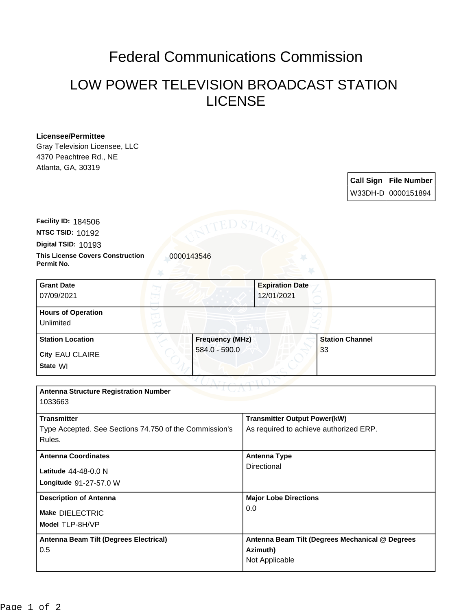## Federal Communications Commission

## LOW POWER TELEVISION BROADCAST STATION LICENSE

## **Licensee/Permittee**

Gray Television Licensee, LLC 4370 Peachtree Rd., NE Atlanta, GA, 30319

> **Call Sign File Number** W33DH-D 0000151894

**This License Covers Construction 10000143546 Permit No. Digital TSID:** 10193 **NTSC TSID:** 10192 **Facility ID:** 184506

| <b>Grant Date</b><br>07/09/2021        | <b>Expiration Date</b><br>12/01/2021 |                        |
|----------------------------------------|--------------------------------------|------------------------|
| <b>Hours of Operation</b><br>Unlimited |                                      |                        |
| <b>Station Location</b>                | <b>Frequency (MHz)</b>               | <b>Station Channel</b> |
| City EAU CLAIRE<br>State WI            | 584.0 - 590.0                        | 33                     |

| <b>Antenna Structure Registration Number</b><br>1033663                                |                                                                               |  |  |
|----------------------------------------------------------------------------------------|-------------------------------------------------------------------------------|--|--|
| <b>Transmitter</b><br>Type Accepted. See Sections 74.750 of the Commission's<br>Rules. | <b>Transmitter Output Power(kW)</b><br>As required to achieve authorized ERP. |  |  |
| <b>Antenna Coordinates</b><br><b>Latitude</b> $44-48-0.0 N$<br>Longitude 91-27-57.0 W  | <b>Antenna Type</b><br>Directional                                            |  |  |
| <b>Description of Antenna</b><br>Make DIELECTRIC<br>Model TLP-8H/VP                    | <b>Major Lobe Directions</b><br>0.0                                           |  |  |
| Antenna Beam Tilt (Degrees Electrical)<br>0.5                                          | Antenna Beam Tilt (Degrees Mechanical @ Degrees<br>Azimuth)<br>Not Applicable |  |  |